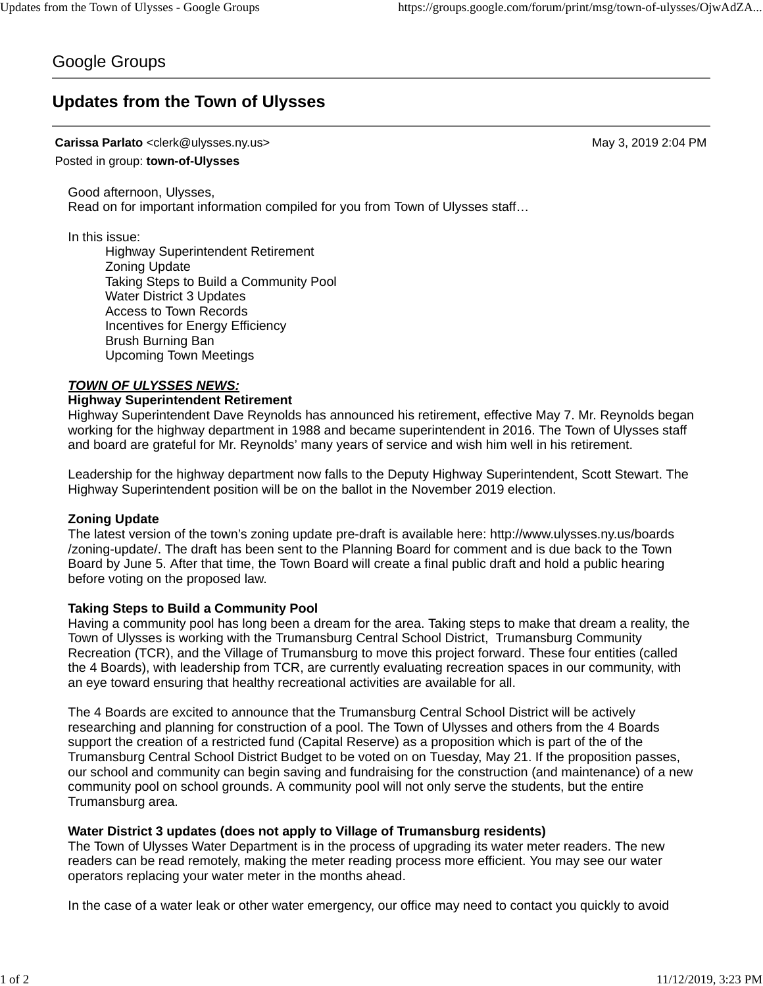# Google Groups

# **Updates from the Town of Ulysses**

## **Carissa Parlato** <clerk@ulysses.ny.us> May 3, 2019 2:04 PM

Posted in group: **town-of-Ulysses**

Good afternoon, Ulysses, Read on for important information compiled for you from Town of Ulysses staff…

In this issue:

Highway Superintendent Retirement Zoning Update Taking Steps to Build a Community Pool Water District 3 Updates Access to Town Records Incentives for Energy Efficiency Brush Burning Ban Upcoming Town Meetings

# *TOWN OF ULYSSES NEWS:*

### **Highway Superintendent Retirement**

Highway Superintendent Dave Reynolds has announced his retirement, effective May 7. Mr. Reynolds began working for the highway department in 1988 and became superintendent in 2016. The Town of Ulysses staff and board are grateful for Mr. Reynolds' many years of service and wish him well in his retirement.

Leadership for the highway department now falls to the Deputy Highway Superintendent, Scott Stewart. The Highway Superintendent position will be on the ballot in the November 2019 election.

#### **Zoning Update**

The latest version of the town's zoning update pre-draft is available here: http://www.ulysses.ny.us/boards /zoning-update/. The draft has been sent to the Planning Board for comment and is due back to the Town Board by June 5. After that time, the Town Board will create a final public draft and hold a public hearing before voting on the proposed law.

#### **Taking Steps to Build a Community Pool**

Having a community pool has long been a dream for the area. Taking steps to make that dream a reality, the Town of Ulysses is working with the Trumansburg Central School District, Trumansburg Community Recreation (TCR), and the Village of Trumansburg to move this project forward. These four entities (called the 4 Boards), with leadership from TCR, are currently evaluating recreation spaces in our community, with an eye toward ensuring that healthy recreational activities are available for all.

The 4 Boards are excited to announce that the Trumansburg Central School District will be actively researching and planning for construction of a pool. The Town of Ulysses and others from the 4 Boards support the creation of a restricted fund (Capital Reserve) as a proposition which is part of the of the Trumansburg Central School District Budget to be voted on on Tuesday, May 21. If the proposition passes, our school and community can begin saving and fundraising for the construction (and maintenance) of a new community pool on school grounds. A community pool will not only serve the students, but the entire Trumansburg area.

#### **Water District 3 updates (does not apply to Village of Trumansburg residents)**

The Town of Ulysses Water Department is in the process of upgrading its water meter readers. The new readers can be read remotely, making the meter reading process more efficient. You may see our water operators replacing your water meter in the months ahead.

In the case of a water leak or other water emergency, our office may need to contact you quickly to avoid